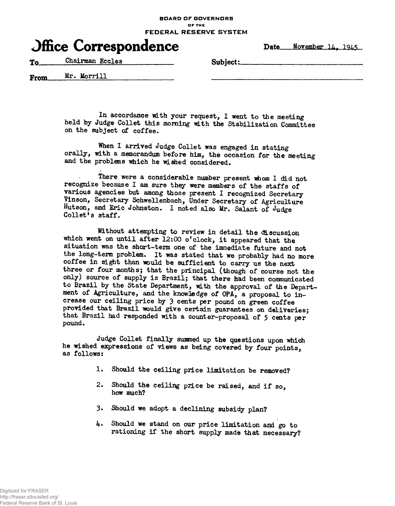**BOARD OF GOVERNORS OF THE FEDERAL RESERVE SYSTEM**

|  | <b>Office Correspondence</b> |
|--|------------------------------|
|--|------------------------------|

Date\_\_\_November 14, 1945

To Chairman Eccles Subject:

**Mr. MorriU** From

> In accordance with your request, I went to the meeting held by Judge Collet this morning with the Stabilization Committee on the subject of coffee.

> When I arrived Judge Collet was engaged in stating orally, with a memorandum before him, the occasion for the meeting and the problems which he wished considered.

There were a considerable number present whom I did not recognize because I am sure they were members of the staffs of various agencies but among those present I recognized Secretary Vinson, Secretary Schwellenbach, Under Secretary of Agriculture Hutson, and Eric Johnston. I noted also Mr. Salant of Judge Collet's staff.

Without attempting to review in detail the discussion which went on until after  $\bar{1}2:00$  o'clock, it appeared that the situation was the short-term one of the immediate future and not the long-term problem. It was stated that we probably had no more coffee in sight than would be sufficient to carry us the next three or four months; that the principal (though of course not the only) source of supply is Brazil; that there had been communicated to Brazil by the State Department, with the approval of the Department of Agriculture, and the knowledge of OPA, a proposal to increase our ceiling price by 3 cents per pound on green coffee provided that Brazil would give certain guarantees on deliveries; that Brazil had responded with a counter-proposal of 5 cents per pound.

Judge Collet finally summed up the questions upon which he wished expressions of views as being covered by four points, as follows:

- 1. Should the ceiling price limitation be removed?
- 2. Should the ceiling price be raised, and if so, how much?
- 3. Should we adopt a declining subsidy plan?
- 4. Should we stand on our price limitation and go to rationing if the short supply made that necessary?